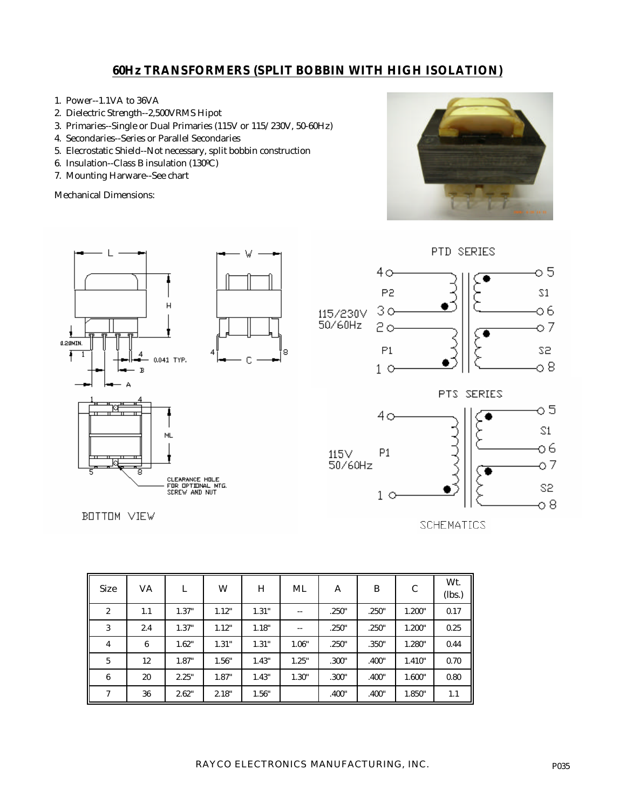## **60Hz TRANSFORMERS (SPLIT BOBBIN WITH HIGH ISOLATION)**

- 1. Power--1.1VA to 36VA
- 2. Dielectric Strength--2,500VRMS Hipot
- 3. Primaries--Single or Dual Primaries (115V or 115/230V, 50-60Hz)
- 4. Secondaries--Series or Parallel Secondaries
- 5. Elecrostatic Shield--Not necessary, split bobbin construction
- 6. Insulation--Class B insulation (130ºC)
- 7. Mounting Harware--See chart

Mechanical Dimensions:





**SCHEMATICS** 

| <b>Size</b>      | VA  | L     | W     | H     | ML    | A     | B     | C      | Wt.<br>(lbs.) |
|------------------|-----|-------|-------|-------|-------|-------|-------|--------|---------------|
| $\boldsymbol{2}$ | 1.1 | 1.37" | 1.12" | 1.31" | --    | .250" | .250" | 1.200" | 0.17          |
| 3                | 2.4 | 1.37" | 1.12" | 1.18" | $- -$ | .250" | .250" | 1.200" | 0.25          |
| 4                | 6   | 1.62" | 1.31" | 1.31" | 1.06" | .250" | .350" | 1.280" | 0.44          |
| 5                | 12  | 1.87" | 1.56" | 1.43" | 1.25" | .300" | .400" | 1.410" | 0.70          |
| $\boldsymbol{6}$ | 20  | 2.25" | 1.87" | 1.43" | 1.30" | .300" | .400" | 1.600" | 0.80          |
| $\overline{7}$   | 36  | 2.62" | 2.18" | 1.56" |       | .400" | .400" | 1.850" | 1.1           |